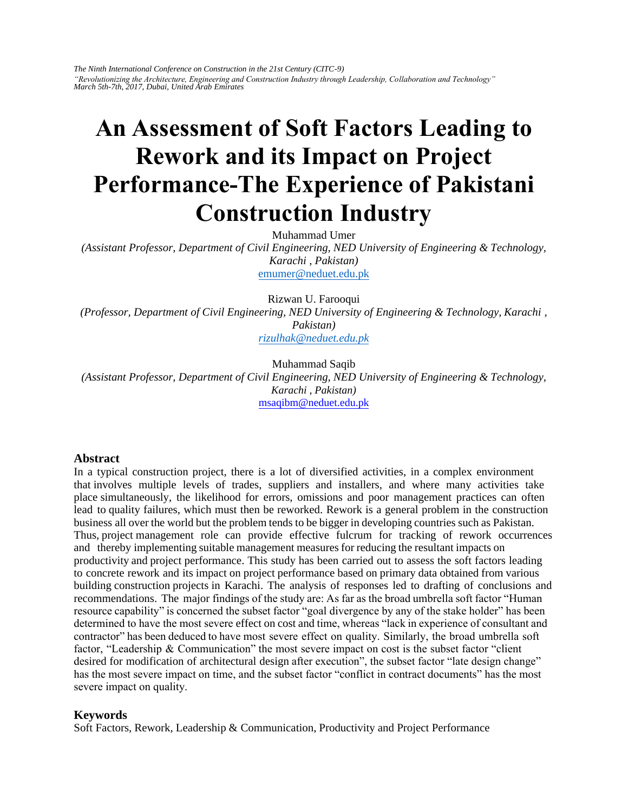*The Ninth International Conference on Construction in the 21st Century (CITC-9) "Revolutionizing the Architecture, Engineering and Construction Industry through Leadership, Collaboration and Technology" March 5th-7th, 2017, Dubai, United Arab Emirates* 

# **An Assessment of Soft Factors Leading to Rework and its Impact on Project Performance-The Experience of Pakistani Construction Industry**

[Muhammad Umer](mailto:emumer@neduet.edu.pk)  *(Assistant Professor, Department of Civil Engineering, NED University of Engineering & Technology, Karachi , Pakistan)*  emumer@neduet.edu.pk

[Rizwan U. Farooqui](mailto:rizulhak@neduet.edu.pk)  *(Professor, Department of Civil Engineering, NED University of Engineering & Technology, Karachi , Pakistan) rizulhak@neduet.edu.pk*

Muhammad Saqib *(Assistant Professor, Department of Civil Engineering, NED University of Engineering & Technology, Karachi , Pakistan)*  msaqibm@neduet.edu.pk

#### **Abstract**

In a typical construction project, there is a lot of diversified activities, in a complex environment that involves multiple levels of trades, suppliers and installers, and where many activities take place simultaneously, the likelihood for errors, omissions and poor management practices can often lead to quality failures, which must then be reworked. Rework is a general problem in the construction business all over the world but the problem tends to be bigger in developing countries such as Pakistan. Thus, project management role can provide effective fulcrum for tracking of rework occurrences and thereby implementing suitable management measures for reducing the resultant impacts on productivity and project performance. This study has been carried out to assess the soft factors leading to concrete rework and its impact on project performance based on primary data obtained from various building construction projects in Karachi. The analysis of responses led to drafting of conclusions and recommendations. The major findings of the study are: As far as the broad umbrella soft factor "Human resource capability" is concerned the subset factor "goal divergence by any of the stake holder" has been determined to have the most severe effect on cost and time, whereas "lack in experience of consultant and contractor" has been deduced to have most severe effect on quality. Similarly, the broad umbrella soft factor, "Leadership & Communication" the most severe impact on cost is the subset factor "client desired for modification of architectural design after execution", the subset factor "late design change" has the most severe impact on time, and the subset factor "conflict in contract documents" has the most severe impact on quality.

#### **Keywords**

Soft Factors, Rework, Leadership & Communication, Productivity and Project Performance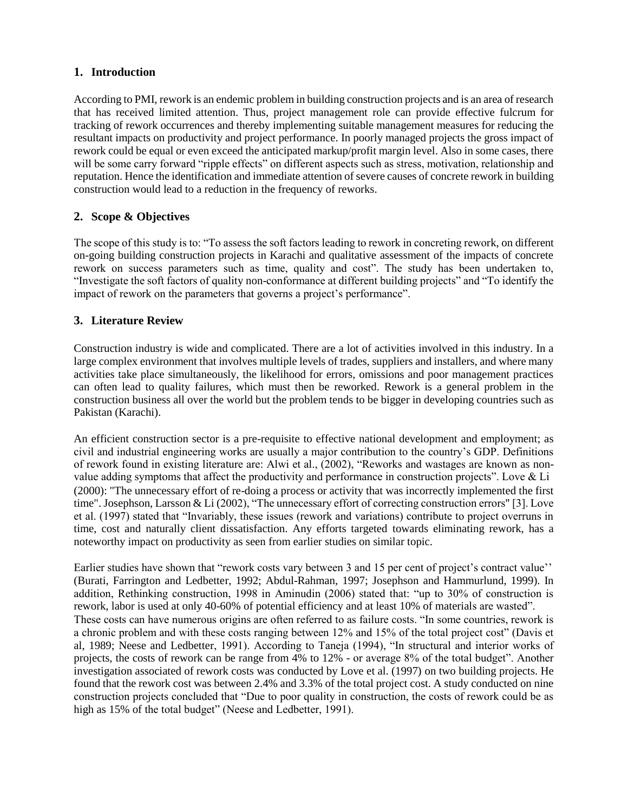## **1. Introduction**

According to PMI, rework is an endemic problem in building construction projects and is an area of research that has received limited attention. Thus, project management role can provide effective fulcrum for tracking of rework occurrences and thereby implementing suitable management measures for reducing the resultant impacts on productivity and project performance. In poorly managed projects the gross impact of rework could be equal or even exceed the anticipated markup/profit margin level. Also in some cases, there will be some carry forward "ripple effects" on different aspects such as stress, motivation, relationship and reputation. Hence the identification and immediate attention of severe causes of concrete rework in building construction would lead to a reduction in the frequency of reworks.

# **2. Scope & Objectives**

The scope of this study is to: "To assess the soft factors leading to rework in concreting rework, on different on-going building construction projects in Karachi and qualitative assessment of the impacts of concrete rework on success parameters such as time, quality and cost". The study has been undertaken to, "Investigate the soft factors of quality non-conformance at different building projects" and "To identify the impact of rework on the parameters that governs a project's performance".

# **3. Literature Review**

Construction industry is wide and complicated. There are a lot of activities involved in this industry. In a large complex environment that involves multiple levels of trades, suppliers and installers, and where many activities take place simultaneously, the likelihood for errors, omissions and poor management practices can often lead to quality failures, which must then be reworked. Rework is a general problem in the construction business all over the world but the problem tends to be bigger in developing countries such as Pakistan (Karachi).

An efficient construction sector is a pre-requisite to effective national development and employment; as civil and industrial engineering works are usually a major contribution to the country's GDP. Definitions of rework found in existing literature are: Alwi et al., (2002), "Reworks and wastages are known as nonvalue adding symptoms that affect the productivity and performance in construction projects". Love & Li (2000): "The unnecessary effort of re-doing a process or activity that was incorrectly implemented the first time". Josephson, Larsson & Li (2002), "The unnecessary effort of correcting construction errors" [3]. Love et al. (1997) stated that "Invariably, these issues (rework and variations) contribute to project overruns in time, cost and naturally client dissatisfaction. Any efforts targeted towards eliminating rework, has a noteworthy impact on productivity as seen from earlier studies on similar topic.

Earlier studies have shown that "rework costs vary between 3 and 15 per cent of project's contract value'' (Burati, Farrington and Ledbetter, 1992; Abdul-Rahman, 1997; Josephson and Hammurlund, 1999). In addition, Rethinking construction, 1998 in Aminudin (2006) stated that: "up to 30% of construction is rework, labor is used at only 40-60% of potential efficiency and at least 10% of materials are wasted". These costs can have numerous origins are often referred to as failure costs. "In some countries, rework is a chronic problem and with these costs ranging between 12% and 15% of the total project cost" (Davis et al, 1989; Neese and Ledbetter, 1991). According to Taneja (1994), "In structural and interior works of projects, the costs of rework can be range from 4% to 12% - or average 8% of the total budget". Another investigation associated of rework costs was conducted by Love et al. (1997) on two building projects. He found that the rework cost was between 2.4% and 3.3% of the total project cost. A study conducted on nine construction projects concluded that "Due to poor quality in construction, the costs of rework could be as high as 15% of the total budget" (Neese and Ledbetter, 1991).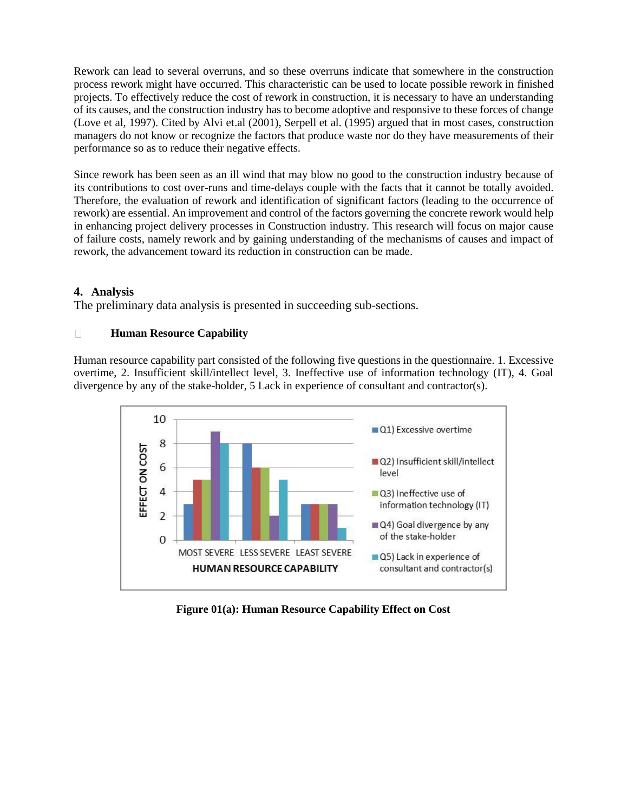Rework can lead to several overruns, and so these overruns indicate that somewhere in the construction process rework might have occurred. This characteristic can be used to locate possible rework in finished projects. To effectively reduce the cost of rework in construction, it is necessary to have an understanding of its causes, and the construction industry has to become adoptive and responsive to these forces of change (Love et al, 1997). Cited by Alvi et.al (2001), Serpell et al. (1995) argued that in most cases, construction managers do not know or recognize the factors that produce waste nor do they have measurements of their performance so as to reduce their negative effects.

Since rework has been seen as an ill wind that may blow no good to the construction industry because of its contributions to cost over-runs and time-delays couple with the facts that it cannot be totally avoided. Therefore, the evaluation of rework and identification of significant factors (leading to the occurrence of rework) are essential. An improvement and control of the factors governing the concrete rework would help in enhancing project delivery processes in Construction industry. This research will focus on major cause of failure costs, namely rework and by gaining understanding of the mechanisms of causes and impact of rework, the advancement toward its reduction in construction can be made.

# **4. Analysis**

The preliminary data analysis is presented in succeeding sub-sections.

#### $\Box$ **Human Resource Capability**

Human resource capability part consisted of the following five questions in the questionnaire. 1. Excessive overtime, 2. Insufficient skill/intellect level, 3. Ineffective use of information technology (IT), 4. Goal divergence by any of the stake-holder, 5 Lack in experience of consultant and contractor(s).



**Figure 01(a): Human Resource Capability Effect on Cost**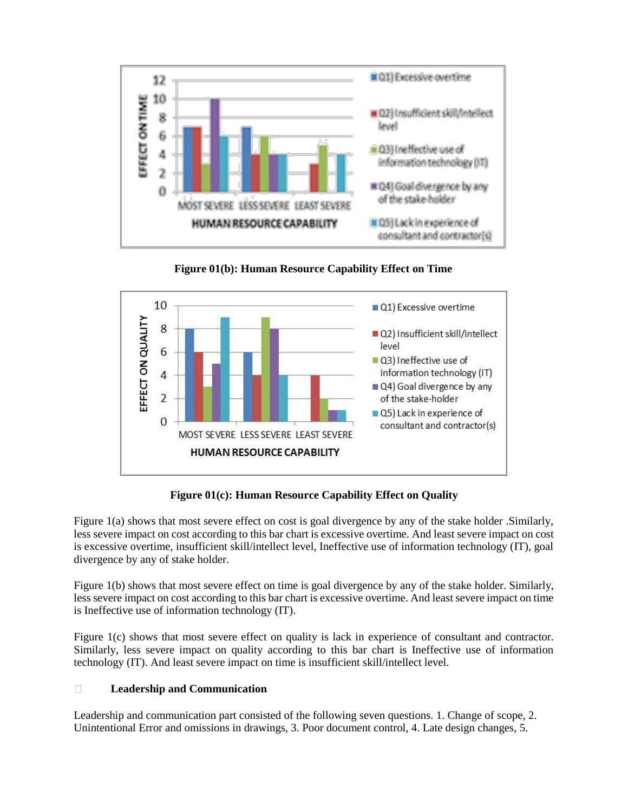

**Figure 01(b): Human Resource Capability Effect on Time**



**Figure 01(c): Human Resource Capability Effect on Quality**

Figure 1(a) shows that most severe effect on cost is goal divergence by any of the stake holder .Similarly, less severe impact on cost according to this bar chart is excessive overtime. And least severe impact on cost is excessive overtime, insufficient skill/intellect level, Ineffective use of information technology (IT), goal divergence by any of stake holder.

Figure 1(b) shows that most severe effect on time is goal divergence by any of the stake holder. Similarly, less severe impact on cost according to this bar chart is excessive overtime. And least severe impact on time is Ineffective use of information technology (IT).

Figure 1(c) shows that most severe effect on quality is lack in experience of consultant and contractor. Similarly, less severe impact on quality according to this bar chart is Ineffective use of information technology (IT). And least severe impact on time is insufficient skill/intellect level.

#### $\Box$ **Leadership and Communication**

Leadership and communication part consisted of the following seven questions. 1. Change of scope, 2. Unintentional Error and omissions in drawings, 3. Poor document control, 4. Late design changes, 5.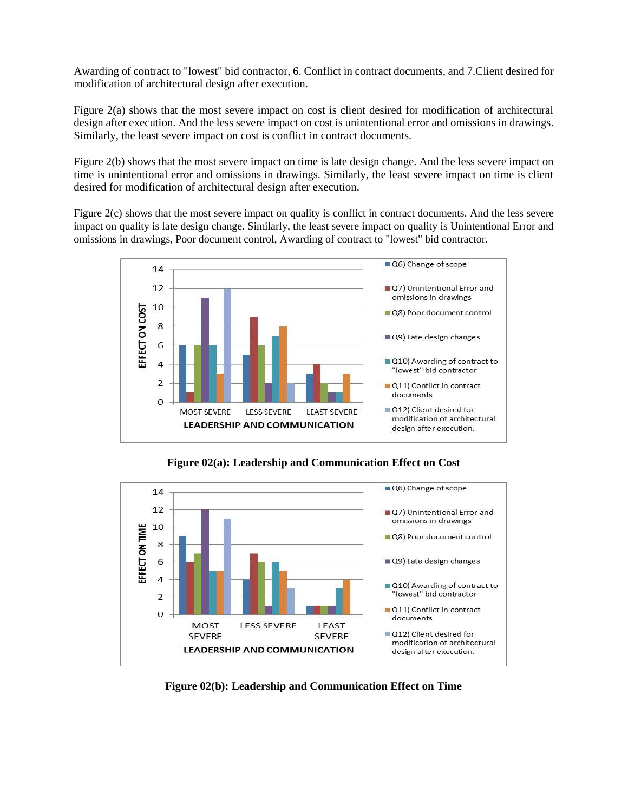Awarding of contract to "lowest" bid contractor, 6. Conflict in contract documents, and 7.Client desired for modification of architectural design after execution.

Figure 2(a) shows that the most severe impact on cost is client desired for modification of architectural design after execution. And the less severe impact on cost is unintentional error and omissions in drawings. Similarly, the least severe impact on cost is conflict in contract documents.

Figure 2(b) shows that the most severe impact on time is late design change. And the less severe impact on time is unintentional error and omissions in drawings. Similarly, the least severe impact on time is client desired for modification of architectural design after execution.

Figure 2(c) shows that the most severe impact on quality is conflict in contract documents. And the less severe impact on quality is late design change. Similarly, the least severe impact on quality is Unintentional Error and omissions in drawings, Poor document control, Awarding of contract to "lowest" bid contractor.



**Figure 02(a): Leadership and Communication Effect on Cost**



**Figure 02(b): Leadership and Communication Effect on Time**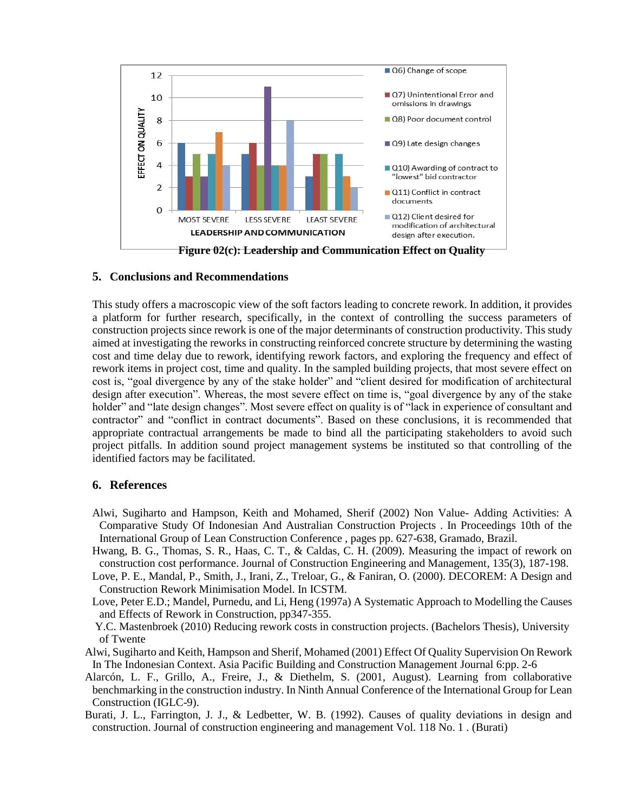

### **5. Conclusions and Recommendations**

This study offers a macroscopic view of the soft factors leading to concrete rework. In addition, it provides a platform for further research, specifically, in the context of controlling the success parameters of construction projects since rework is one of the major determinants of construction productivity. This study aimed at investigating the reworks in constructing reinforced concrete structure by determining the wasting cost and time delay due to rework, identifying rework factors, and exploring the frequency and effect of rework items in project cost, time and quality. In the sampled building projects, that most severe effect on cost is, "goal divergence by any of the stake holder" and "client desired for modification of architectural design after execution". Whereas, the most severe effect on time is, "goal divergence by any of the stake holder" and "late design changes". Most severe effect on quality is of "lack in experience of consultant and contractor" and "conflict in contract documents". Based on these conclusions, it is recommended that appropriate contractual arrangements be made to bind all the participating stakeholders to avoid such project pitfalls. In addition sound project management systems be instituted so that controlling of the identified factors may be facilitated.

## **6. References**

- Alwi, Sugiharto and Hampson, Keith and Mohamed, Sherif (2002) Non Value- Adding Activities: A Comparative Study Of Indonesian And Australian Construction Projects . In Proceedings 10th of the International Group of Lean Construction Conference , pages pp. 627-638, Gramado, Brazil.
- Hwang, B. G., Thomas, S. R., Haas, C. T., & Caldas, C. H. (2009). Measuring the impact of rework on construction cost performance. Journal of Construction Engineering and Management, 135(3), 187-198.
- Love, P. E., Mandal, P., Smith, J., Irani, Z., Treloar, G., & Faniran, O. (2000). DECOREM: A Design and Construction Rework Minimisation Model. In ICSTM.
- Love, Peter E.D.; Mandel, Purnedu, and Li, Heng (1997a) A Systematic Approach to Modelling the Causes and Effects of Rework in Construction, pp347-355.
- Y.C. Mastenbroek (2010) Reducing rework costs in construction projects. (Bachelors Thesis), University of Twente
- Alwi, Sugiharto and Keith, Hampson and Sherif, Mohamed (2001) Effect Of Quality Supervision On Rework In The Indonesian Context. Asia Pacific Building and Construction Management Journal 6:pp. 2-6
- Alarcón, L. F., Grillo, A., Freire, J., & Diethelm, S. (2001, August). Learning from collaborative benchmarking in the construction industry. In Ninth Annual Conference of the International Group for Lean Construction (IGLC-9).
- Burati, J. L., Farrington, J. J., & Ledbetter, W. B. (1992). Causes of quality deviations in design and construction. Journal of construction engineering and management Vol. 118 No. 1 . (Burati)